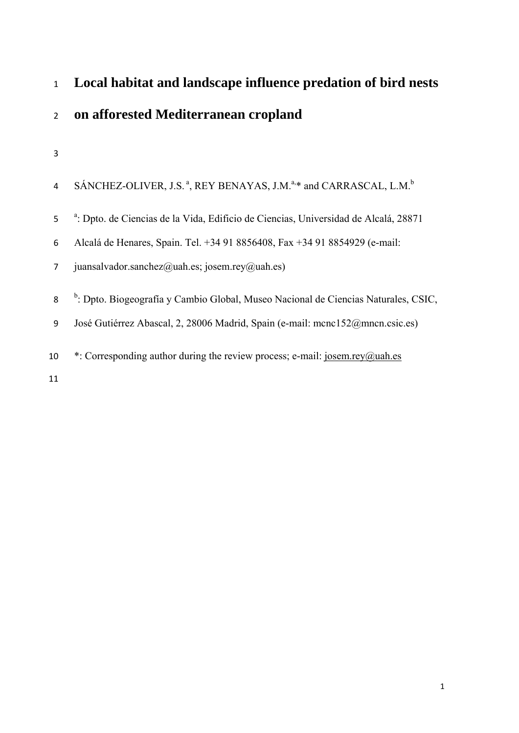# **Local habitat and landscape influence predation of bird nests on afforested Mediterranean cropland**

|  |  |  | SÁNCHEZ-OLIVER, J.S. <sup>a</sup> , REY BENAYAS, J.M. <sup>a,*</sup> and CARRASCAL, L.M. <sup>b</sup> |  |
|--|--|--|-------------------------------------------------------------------------------------------------------|--|
|--|--|--|-------------------------------------------------------------------------------------------------------|--|

5 <sup>a</sup>: Dpto. de Ciencias de la Vida, Edificio de Ciencias, Universidad de Alcalá, 28871

- Alcalá de Henares, Spain. Tel. +34 91 8856408, Fax +34 91 8854929 (e-mail:
- juansalvador.sanchez@uah.es; josem.rey@uah.es)
- 8 <sup>b</sup>: Dpto. Biogeografía y Cambio Global, Museo Nacional de Ciencias Naturales, CSIC,
- José Gutiérrez Abascal, 2, 28006 Madrid, Spain (e-mail: mcnc152@mncn.csic.es)
- 10  $*$ : Corresponding author during the review process; e-mail: josem.rey@uah.es
-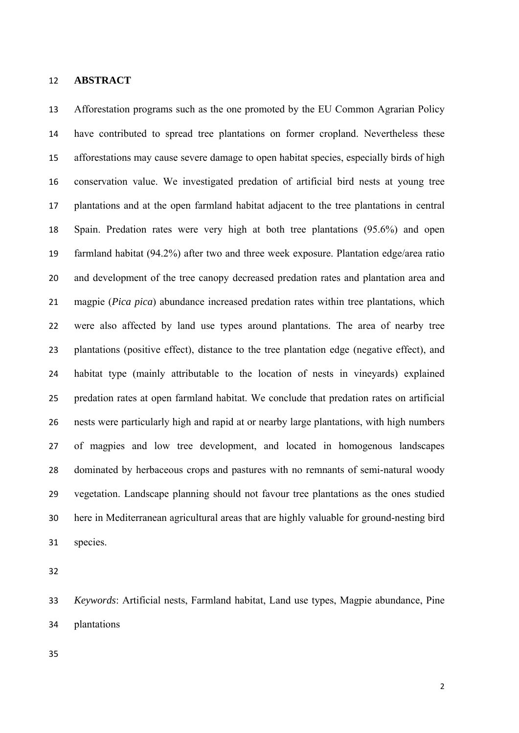#### **ABSTRACT**

 Afforestation programs such as the one promoted by the EU Common Agrarian Policy have contributed to spread tree plantations on former cropland. Nevertheless these afforestations may cause severe damage to open habitat species, especially birds of high conservation value. We investigated predation of artificial bird nests at young tree plantations and at the open farmland habitat adjacent to the tree plantations in central Spain. Predation rates were very high at both tree plantations (95.6%) and open farmland habitat (94.2%) after two and three week exposure. Plantation edge/area ratio and development of the tree canopy decreased predation rates and plantation area and magpie (*Pica pica*) abundance increased predation rates within tree plantations, which were also affected by land use types around plantations. The area of nearby tree plantations (positive effect), distance to the tree plantation edge (negative effect), and habitat type (mainly attributable to the location of nests in vineyards) explained predation rates at open farmland habitat. We conclude that predation rates on artificial nests were particularly high and rapid at or nearby large plantations, with high numbers of magpies and low tree development, and located in homogenous landscapes dominated by herbaceous crops and pastures with no remnants of semi-natural woody vegetation. Landscape planning should not favour tree plantations as the ones studied here in Mediterranean agricultural areas that are highly valuable for ground-nesting bird species.

 *Keywords*: Artificial nests, Farmland habitat, Land use types, Magpie abundance, Pine plantations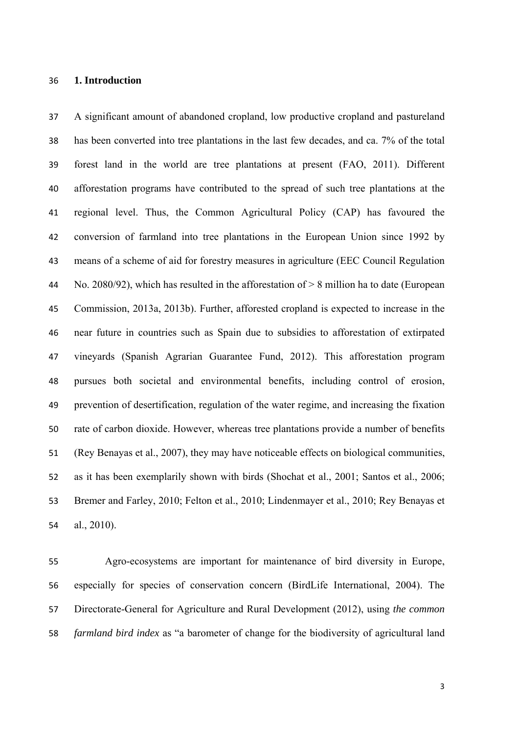### **1. Introduction**

 A significant amount of abandoned cropland, low productive cropland and pastureland has been converted into tree plantations in the last few decades, and ca. 7% of the total forest land in the world are tree plantations at present (FAO, 2011). Different afforestation programs have contributed to the spread of such tree plantations at the regional level. Thus, the Common Agricultural Policy (CAP) has favoured the conversion of farmland into tree plantations in the European Union since 1992 by means of a scheme of aid for forestry measures in agriculture (EEC Council Regulation No. 2080/92), which has resulted in the afforestation of > 8 million ha to date (European Commission, 2013a, 2013b). Further, afforested cropland is expected to increase in the near future in countries such as Spain due to subsidies to afforestation of extirpated vineyards (Spanish Agrarian Guarantee Fund, 2012). This afforestation program pursues both societal and environmental benefits, including control of erosion, prevention of desertification, regulation of the water regime, and increasing the fixation rate of carbon dioxide. However, whereas tree plantations provide a number of benefits (Rey Benayas et al., 2007), they may have noticeable effects on biological communities, as it has been exemplarily shown with birds (Shochat et al., 2001; Santos et al., 2006; Bremer and Farley, 2010; Felton et al., 2010; Lindenmayer et al., 2010; Rey Benayas et al., 2010).

 Agro-ecosystems are important for maintenance of bird diversity in Europe, especially for species of conservation concern (BirdLife International, 2004). The Directorate-General for Agriculture and Rural Development (2012), using *the common farmland bird index* as "a barometer of change for the biodiversity of agricultural land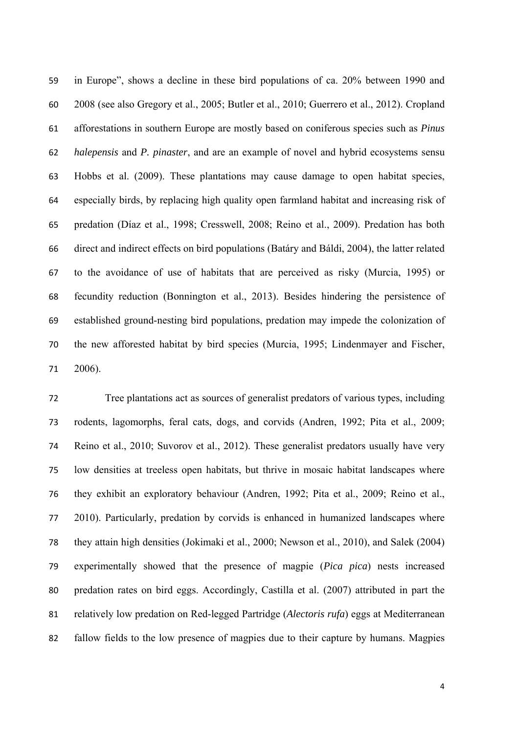in Europe", shows a decline in these bird populations of ca. 20% between 1990 and 2008 (see also Gregory et al., 2005; Butler et al., 2010; Guerrero et al., 2012). Cropland afforestations in southern Europe are mostly based on coniferous species such as *Pinus halepensis* and *P. pinaster*, and are an example of novel and hybrid ecosystems sensu Hobbs et al. (2009). These plantations may cause damage to open habitat species, especially birds, by replacing high quality open farmland habitat and increasing risk of predation (Díaz et al., 1998; Cresswell, 2008; Reino et al., 2009). Predation has both direct and indirect effects on bird populations (Batáry and Báldi, 2004), the latter related to the avoidance of use of habitats that are perceived as risky (Murcia, 1995) or fecundity reduction (Bonnington et al., 2013). Besides hindering the persistence of established ground-nesting bird populations, predation may impede the colonization of the new afforested habitat by bird species (Murcia, 1995; Lindenmayer and Fischer, 2006).

 Tree plantations act as sources of generalist predators of various types, including rodents, lagomorphs, feral cats, dogs, and corvids (Andren, 1992; Pita et al., 2009; Reino et al., 2010; Suvorov et al., 2012). These generalist predators usually have very low densities at treeless open habitats, but thrive in mosaic habitat landscapes where they exhibit an exploratory behaviour (Andren, 1992; Pita et al., 2009; Reino et al., 2010). Particularly, predation by corvids is enhanced in humanized landscapes where they attain high densities (Jokimaki et al., 2000; Newson et al., 2010), and Salek (2004) experimentally showed that the presence of magpie (*Pica pica*) nests increased predation rates on bird eggs. Accordingly, Castilla et al. (2007) attributed in part the relatively low predation on Red-legged Partridge (*Alectoris rufa*) eggs at Mediterranean fallow fields to the low presence of magpies due to their capture by humans. Magpies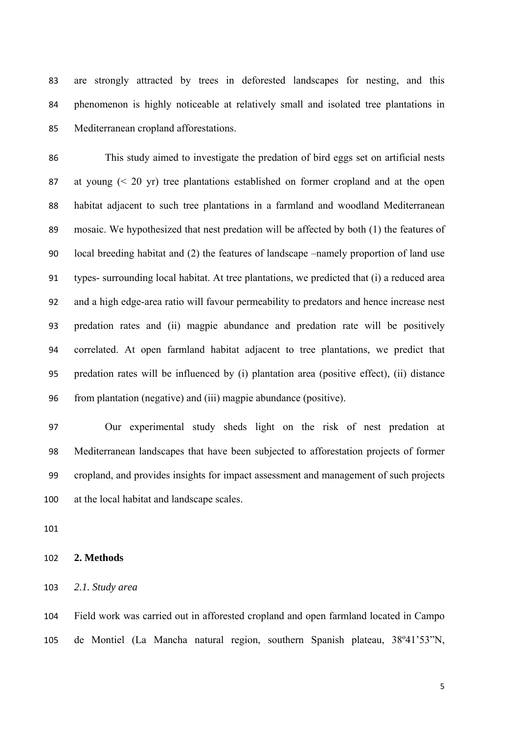are strongly attracted by trees in deforested landscapes for nesting, and this phenomenon is highly noticeable at relatively small and isolated tree plantations in Mediterranean cropland afforestations.

 This study aimed to investigate the predation of bird eggs set on artificial nests at young (< 20 yr) tree plantations established on former cropland and at the open habitat adjacent to such tree plantations in a farmland and woodland Mediterranean mosaic. We hypothesized that nest predation will be affected by both (1) the features of local breeding habitat and (2) the features of landscape –namely proportion of land use types- surrounding local habitat. At tree plantations, we predicted that (i) a reduced area and a high edge-area ratio will favour permeability to predators and hence increase nest predation rates and (ii) magpie abundance and predation rate will be positively correlated. At open farmland habitat adjacent to tree plantations, we predict that predation rates will be influenced by (i) plantation area (positive effect), (ii) distance from plantation (negative) and (iii) magpie abundance (positive).

 Our experimental study sheds light on the risk of nest predation at Mediterranean landscapes that have been subjected to afforestation projects of former cropland, and provides insights for impact assessment and management of such projects at the local habitat and landscape scales.

#### **2. Methods**

*2.1. Study area* 

 Field work was carried out in afforested cropland and open farmland located in Campo de Montiel (La Mancha natural region, southern Spanish plateau, 38º41'53"N,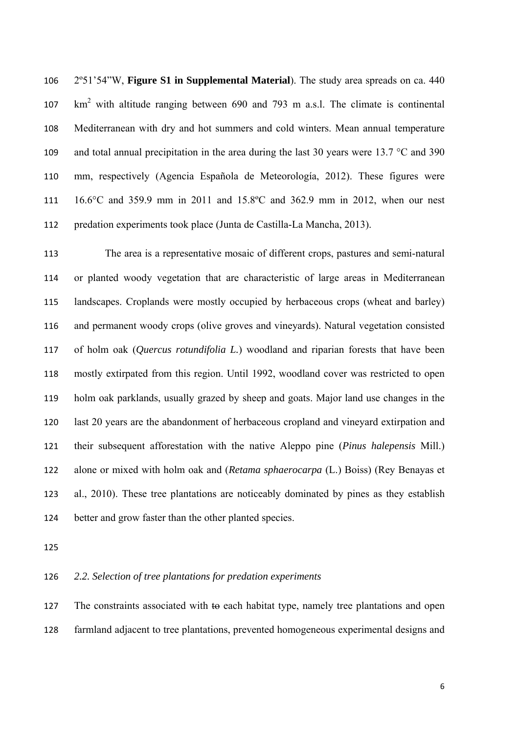2º51'54"W, **Figure S1 in Supplemental Material**). The study area spreads on ca. 440 km2 with altitude ranging between 690 and 793 m a.s.l. The climate is continental Mediterranean with dry and hot summers and cold winters. Mean annual temperature 109 and total annual precipitation in the area during the last 30 years were 13.7 °C and 390 mm, respectively (Agencia Española de Meteorología, 2012). These figures were 16.6°C and 359.9 mm in 2011 and 15.8ºC and 362.9 mm in 2012, when our nest predation experiments took place (Junta de Castilla-La Mancha, 2013).

 The area is a representative mosaic of different crops, pastures and semi-natural or planted woody vegetation that are characteristic of large areas in Mediterranean landscapes. Croplands were mostly occupied by herbaceous crops (wheat and barley) and permanent woody crops (olive groves and vineyards). Natural vegetation consisted of holm oak (*Quercus rotundifolia L.*) woodland and riparian forests that have been mostly extirpated from this region. Until 1992, woodland cover was restricted to open holm oak parklands, usually grazed by sheep and goats. Major land use changes in the last 20 years are the abandonment of herbaceous cropland and vineyard extirpation and their subsequent afforestation with the native Aleppo pine (*Pinus halepensis* Mill.) alone or mixed with holm oak and (*Retama sphaerocarpa* (L.) Boiss) (Rey Benayas et al., 2010). These tree plantations are noticeably dominated by pines as they establish better and grow faster than the other planted species.

# *2.2. Selection of tree plantations for predation experiments*

127 The constraints associated with to each habitat type, namely tree plantations and open farmland adjacent to tree plantations, prevented homogeneous experimental designs and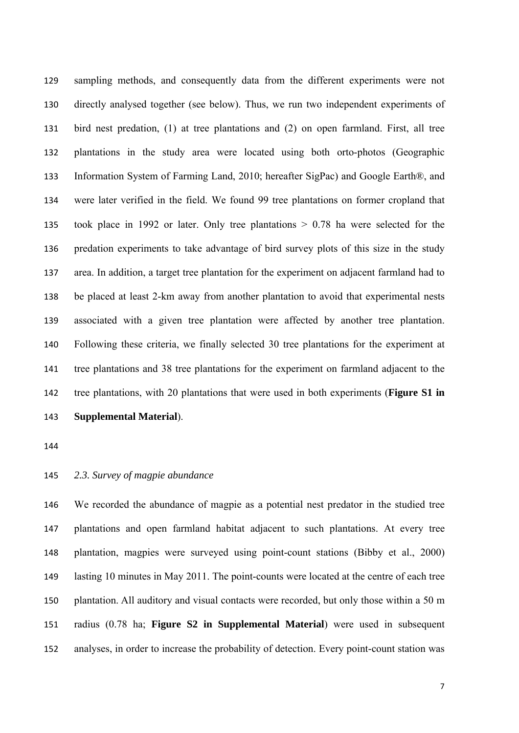sampling methods, and consequently data from the different experiments were not directly analysed together (see below). Thus, we run two independent experiments of bird nest predation, (1) at tree plantations and (2) on open farmland. First, all tree plantations in the study area were located using both orto-photos (Geographic Information System of Farming Land, 2010; hereafter SigPac) and Google Earth®, and were later verified in the field. We found 99 tree plantations on former cropland that took place in 1992 or later. Only tree plantations > 0.78 ha were selected for the predation experiments to take advantage of bird survey plots of this size in the study area. In addition, a target tree plantation for the experiment on adjacent farmland had to be placed at least 2-km away from another plantation to avoid that experimental nests associated with a given tree plantation were affected by another tree plantation. Following these criteria, we finally selected 30 tree plantations for the experiment at tree plantations and 38 tree plantations for the experiment on farmland adjacent to the tree plantations, with 20 plantations that were used in both experiments (**Figure S1 in Supplemental Material**).

## *2.3. Survey of magpie abundance*

 We recorded the abundance of magpie as a potential nest predator in the studied tree plantations and open farmland habitat adjacent to such plantations. At every tree plantation, magpies were surveyed using point-count stations (Bibby et al., 2000) lasting 10 minutes in May 2011. The point-counts were located at the centre of each tree plantation. All auditory and visual contacts were recorded, but only those within a 50 m radius (0.78 ha; **Figure S2 in Supplemental Material**) were used in subsequent analyses, in order to increase the probability of detection. Every point-count station was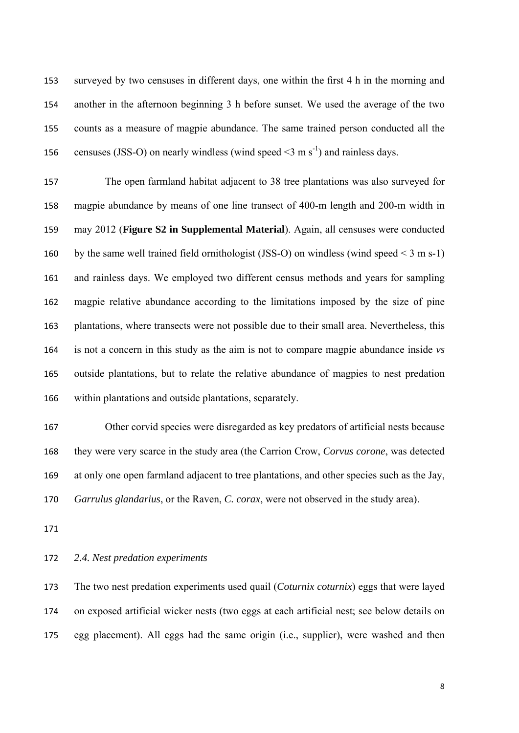surveyed by two censuses in different days, one within the first 4 h in the morning and another in the afternoon beginning 3 h before sunset. We used the average of the two counts as a measure of magpie abundance. The same trained person conducted all the 156 censuses (JSS-O) on nearly windless (wind speed  $\leq$ 3 m s<sup>-1</sup>) and rainless days.

 The open farmland habitat adjacent to 38 tree plantations was also surveyed for magpie abundance by means of one line transect of 400-m length and 200-m width in may 2012 (**Figure S2 in Supplemental Material**). Again, all censuses were conducted 160 by the same well trained field ornithologist (JSS-O) on windless (wind speed  $\leq$  3 m s-1) and rainless days. We employed two different census methods and years for sampling magpie relative abundance according to the limitations imposed by the size of pine plantations, where transects were not possible due to their small area. Nevertheless, this is not a concern in this study as the aim is not to compare magpie abundance inside *vs* outside plantations, but to relate the relative abundance of magpies to nest predation within plantations and outside plantations, separately.

 Other corvid species were disregarded as key predators of artificial nests because they were very scarce in the study area (the Carrion Crow, *Corvus corone*, was detected at only one open farmland adjacent to tree plantations, and other species such as the Jay, *Garrulus glandarius*, or the Raven, *C. corax*, were not observed in the study area).

# *2.4. Nest predation experiments*

 The two nest predation experiments used quail (*Coturnix coturnix*) eggs that were layed on exposed artificial wicker nests (two eggs at each artificial nest; see below details on egg placement). All eggs had the same origin (i.e., supplier), were washed and then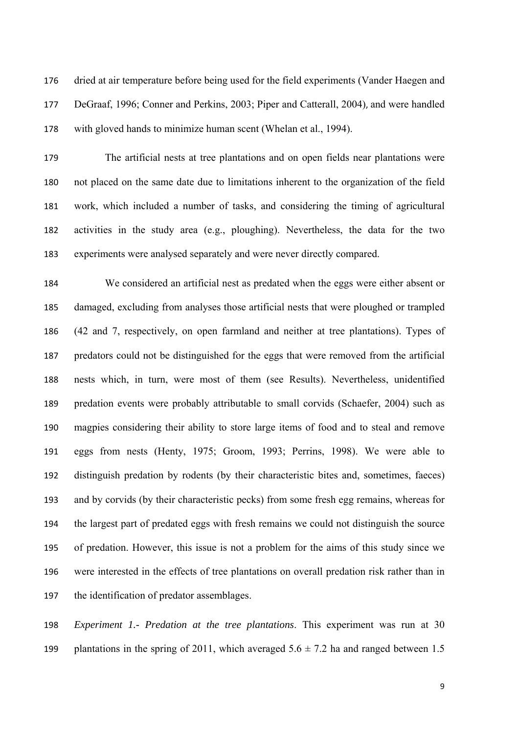dried at air temperature before being used for the field experiments (Vander Haegen and DeGraaf, 1996; Conner and Perkins, 2003; Piper and Catterall, 2004), and were handled with gloved hands to minimize human scent (Whelan et al., 1994).

 The artificial nests at tree plantations and on open fields near plantations were not placed on the same date due to limitations inherent to the organization of the field work, which included a number of tasks, and considering the timing of agricultural activities in the study area (e.g., ploughing). Nevertheless, the data for the two experiments were analysed separately and were never directly compared.

 We considered an artificial nest as predated when the eggs were either absent or damaged, excluding from analyses those artificial nests that were ploughed or trampled (42 and 7, respectively, on open farmland and neither at tree plantations). Types of predators could not be distinguished for the eggs that were removed from the artificial nests which, in turn, were most of them (see Results). Nevertheless, unidentified predation events were probably attributable to small corvids (Schaefer, 2004) such as magpies considering their ability to store large items of food and to steal and remove eggs from nests (Henty, 1975; Groom, 1993; Perrins, 1998). We were able to distinguish predation by rodents (by their characteristic bites and, sometimes, faeces) and by corvids (by their characteristic pecks) from some fresh egg remains, whereas for the largest part of predated eggs with fresh remains we could not distinguish the source of predation. However, this issue is not a problem for the aims of this study since we were interested in the effects of tree plantations on overall predation risk rather than in the identification of predator assemblages.

 *Experiment 1.- Predation at the tree plantations*. This experiment was run at 30 199 plantations in the spring of 2011, which averaged  $5.6 \pm 7.2$  ha and ranged between 1.5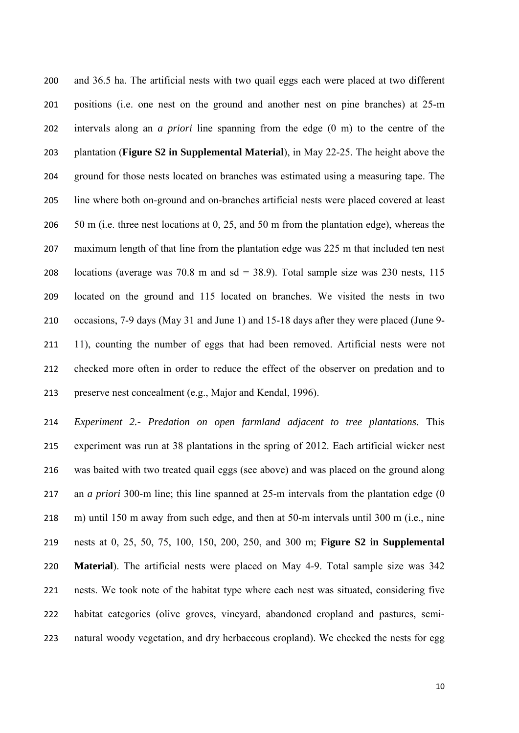and 36.5 ha. The artificial nests with two quail eggs each were placed at two different positions (i.e. one nest on the ground and another nest on pine branches) at 25-m intervals along an *a priori* line spanning from the edge (0 m) to the centre of the plantation (**Figure S2 in Supplemental Material**), in May 22-25. The height above the ground for those nests located on branches was estimated using a measuring tape. The line where both on-ground and on-branches artificial nests were placed covered at least 206 50 m (i.e. three nest locations at 0, 25, and 50 m from the plantation edge), whereas the maximum length of that line from the plantation edge was 225 m that included ten nest 208 locations (average was  $70.8$  m and sd = 38.9). Total sample size was 230 nests, 115 located on the ground and 115 located on branches. We visited the nests in two occasions, 7-9 days (May 31 and June 1) and 15-18 days after they were placed (June 9- 11), counting the number of eggs that had been removed. Artificial nests were not checked more often in order to reduce the effect of the observer on predation and to preserve nest concealment (e.g., Major and Kendal, 1996).

 *Experiment 2.- Predation on open farmland adjacent to tree plantations*. This experiment was run at 38 plantations in the spring of 2012. Each artificial wicker nest was baited with two treated quail eggs (see above) and was placed on the ground along an *a priori* 300-m line; this line spanned at 25-m intervals from the plantation edge (0 m) until 150 m away from such edge, and then at 50-m intervals until 300 m (i.e., nine nests at 0, 25, 50, 75, 100, 150, 200, 250, and 300 m; **Figure S2 in Supplemental Material**). The artificial nests were placed on May 4-9. Total sample size was 342 nests. We took note of the habitat type where each nest was situated, considering five habitat categories (olive groves, vineyard, abandoned cropland and pastures, semi-natural woody vegetation, and dry herbaceous cropland). We checked the nests for egg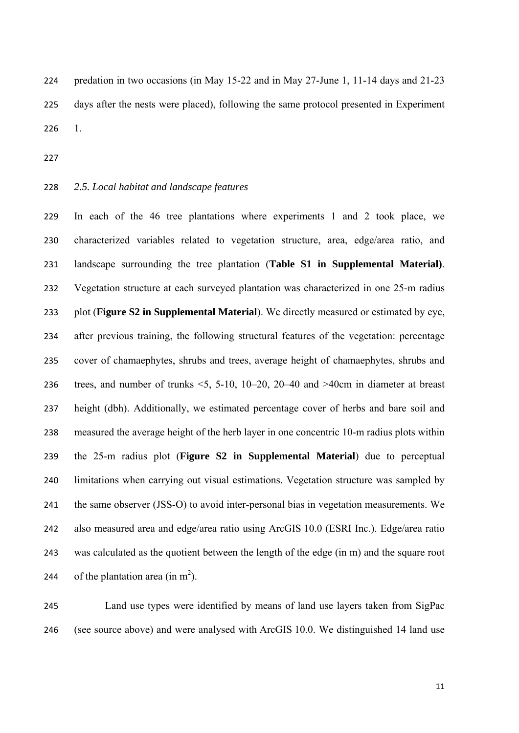predation in two occasions (in May 15-22 and in May 27-June 1, 11-14 days and 21-23 days after the nests were placed), following the same protocol presented in Experiment 1.

- 
- *2.5. Local habitat and landscape features*

 In each of the 46 tree plantations where experiments 1 and 2 took place, we characterized variables related to vegetation structure, area, edge/area ratio, and landscape surrounding the tree plantation (**Table S1 in Supplemental Material)**. Vegetation structure at each surveyed plantation was characterized in one 25-m radius plot (**Figure S2 in Supplemental Material**). We directly measured or estimated by eye, after previous training, the following structural features of the vegetation: percentage cover of chamaephytes, shrubs and trees, average height of chamaephytes, shrubs and 236 trees, and number of trunks  $\leq 5$ , 5-10, 10–20, 20–40 and  $>$ 40cm in diameter at breast height (dbh). Additionally, we estimated percentage cover of herbs and bare soil and measured the average height of the herb layer in one concentric 10-m radius plots within the 25-m radius plot (**Figure S2 in Supplemental Material**) due to perceptual limitations when carrying out visual estimations. Vegetation structure was sampled by the same observer (JSS-O) to avoid inter-personal bias in vegetation measurements. We also measured area and edge/area ratio using ArcGIS 10.0 (ESRI Inc.). Edge/area ratio was calculated as the quotient between the length of the edge (in m) and the square root 244 of the plantation area (in  $m<sup>2</sup>$ ).

 Land use types were identified by means of land use layers taken from SigPac (see source above) and were analysed with ArcGIS 10.0. We distinguished 14 land use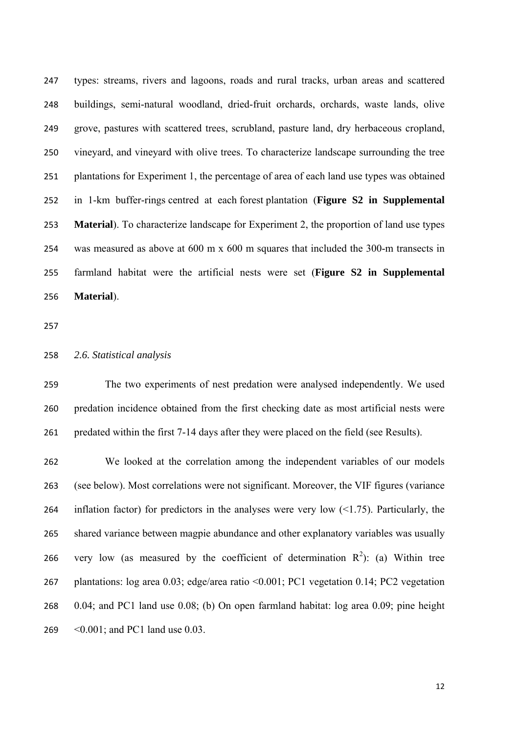types: streams, rivers and lagoons, roads and rural tracks, urban areas and scattered buildings, semi-natural woodland, dried-fruit orchards, orchards, waste lands, olive grove, pastures with scattered trees, scrubland, pasture land, dry herbaceous cropland, vineyard, and vineyard with olive trees. To characterize landscape surrounding the tree plantations for Experiment 1, the percentage of area of each land use types was obtained in 1-km buffer-rings centred at each forest plantation (**Figure S2 in Supplemental Material**). To characterize landscape for Experiment 2, the proportion of land use types was measured as above at 600 m x 600 m squares that included the 300-m transects in farmland habitat were the artificial nests were set (**Figure S2 in Supplemental Material**).

#### *2.6. Statistical analysis*

 The two experiments of nest predation were analysed independently. We used predation incidence obtained from the first checking date as most artificial nests were predated within the first 7-14 days after they were placed on the field (see Results).

 We looked at the correlation among the independent variables of our models (see below). Most correlations were not significant. Moreover, the VIF figures (variance 264 inflation factor) for predictors in the analyses were very low  $(1.75)$ . Particularly, the shared variance between magpie abundance and other explanatory variables was usually 266 very low (as measured by the coefficient of determination  $R^2$ ): (a) Within tree plantations: log area 0.03; edge/area ratio <0.001; PC1 vegetation 0.14; PC2 vegetation 0.04; and PC1 land use 0.08; (b) On open farmland habitat: log area 0.09; pine height <0.001; and PC1 land use 0.03.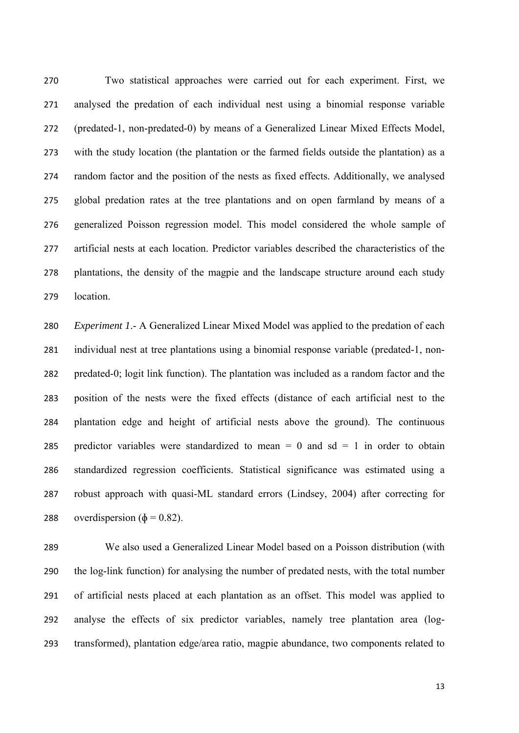Two statistical approaches were carried out for each experiment. First, we analysed the predation of each individual nest using a binomial response variable (predated-1, non-predated-0) by means of a Generalized Linear Mixed Effects Model, with the study location (the plantation or the farmed fields outside the plantation) as a random factor and the position of the nests as fixed effects. Additionally, we analysed global predation rates at the tree plantations and on open farmland by means of a generalized Poisson regression model. This model considered the whole sample of artificial nests at each location. Predictor variables described the characteristics of the plantations, the density of the magpie and the landscape structure around each study location.

 *Experiment 1*.- A Generalized Linear Mixed Model was applied to the predation of each individual nest at tree plantations using a binomial response variable (predated-1, non- predated-0; logit link function). The plantation was included as a random factor and the position of the nests were the fixed effects (distance of each artificial nest to the plantation edge and height of artificial nests above the ground). The continuous 285 predictor variables were standardized to mean  $= 0$  and sd  $= 1$  in order to obtain standardized regression coefficients. Statistical significance was estimated using a robust approach with quasi-ML standard errors (Lindsey, 2004) after correcting for 288 overdispersion ( $\phi = 0.82$ ).

 We also used a Generalized Linear Model based on a Poisson distribution (with the log-link function) for analysing the number of predated nests, with the total number of artificial nests placed at each plantation as an offset. This model was applied to analyse the effects of six predictor variables, namely tree plantation area (log-transformed), plantation edge/area ratio, magpie abundance, two components related to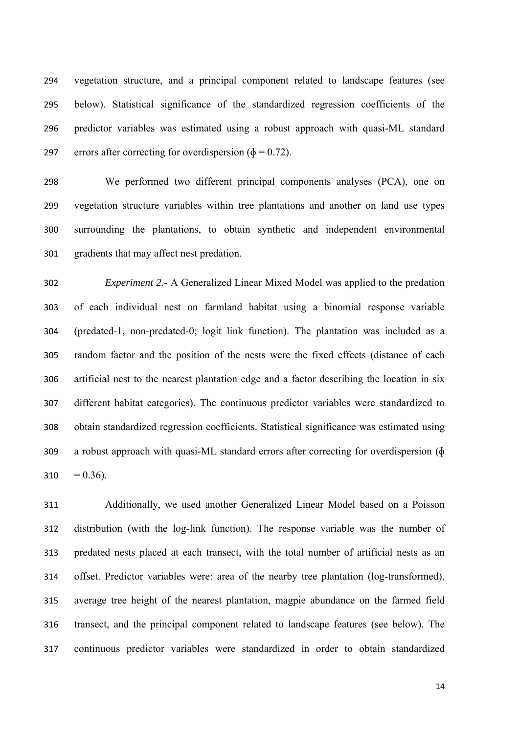vegetation structure, and a principal component related to landscape features (see below). Statistical significance of the standardized regression coefficients of the predictor variables was estimated using a robust approach with quasi-ML standard 297 errors after correcting for overdispersion ( $\phi = 0.72$ ).

 We performed two different principal components analyses (PCA), one on vegetation structure variables within tree plantations and another on land use types surrounding the plantations, to obtain synthetic and independent environmental gradients that may affect nest predation.

 *Experiment 2.-* A Generalized Linear Mixed Model was applied to the predation of each individual nest on farmland habitat using a binomial response variable (predated-1, non-predated-0; logit link function). The plantation was included as a random factor and the position of the nests were the fixed effects (distance of each artificial nest to the nearest plantation edge and a factor describing the location in six different habitat categories). The continuous predictor variables were standardized to obtain standardized regression coefficients. Statistical significance was estimated using a robust approach with quasi-ML standard errors after correcting for overdispersion (ɸ  $310 = 0.36$ .

 Additionally, we used another Generalized Linear Model based on a Poisson distribution (with the log-link function). The response variable was the number of predated nests placed at each transect, with the total number of artificial nests as an offset. Predictor variables were: area of the nearby tree plantation (log-transformed), average tree height of the nearest plantation, magpie abundance on the farmed field transect, and the principal component related to landscape features (see below). The continuous predictor variables were standardized in order to obtain standardized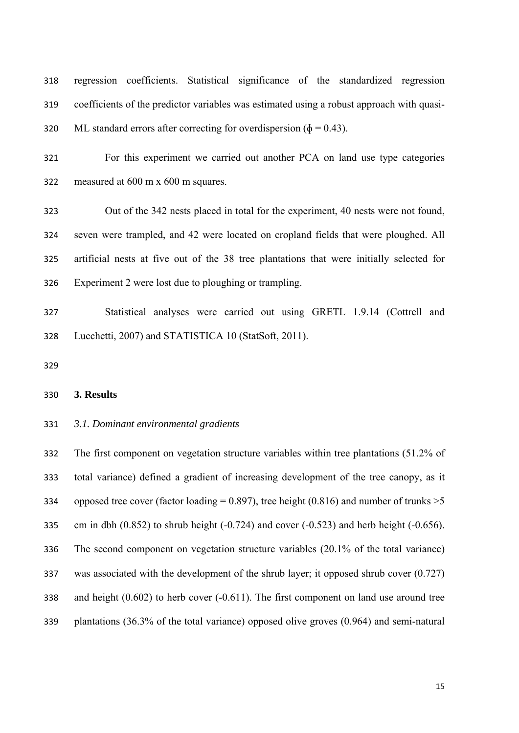regression coefficients. Statistical significance of the standardized regression coefficients of the predictor variables was estimated using a robust approach with quasi-320 ML standard errors after correcting for overdispersion ( $\phi = 0.43$ ).

 For this experiment we carried out another PCA on land use type categories measured at 600 m x 600 m squares.

 Out of the 342 nests placed in total for the experiment, 40 nests were not found, seven were trampled, and 42 were located on cropland fields that were ploughed. All artificial nests at five out of the 38 tree plantations that were initially selected for Experiment 2 were lost due to ploughing or trampling.

 Statistical analyses were carried out using GRETL 1.9.14 (Cottrell and Lucchetti, 2007) and STATISTICA 10 (StatSoft, 2011).

# **3. Results**

### *3.1. Dominant environmental gradients*

 The first component on vegetation structure variables within tree plantations (51.2% of total variance) defined a gradient of increasing development of the tree canopy, as it 334 opposed tree cover (factor loading =  $0.897$ ), tree height (0.816) and number of trunks  $>5$ 335 cm in dbh  $(0.852)$  to shrub height  $(-0.724)$  and cover  $(-0.523)$  and herb height  $(-0.656)$ . The second component on vegetation structure variables (20.1% of the total variance) was associated with the development of the shrub layer; it opposed shrub cover (0.727) and height (0.602) to herb cover (-0.611). The first component on land use around tree plantations (36.3% of the total variance) opposed olive groves (0.964) and semi-natural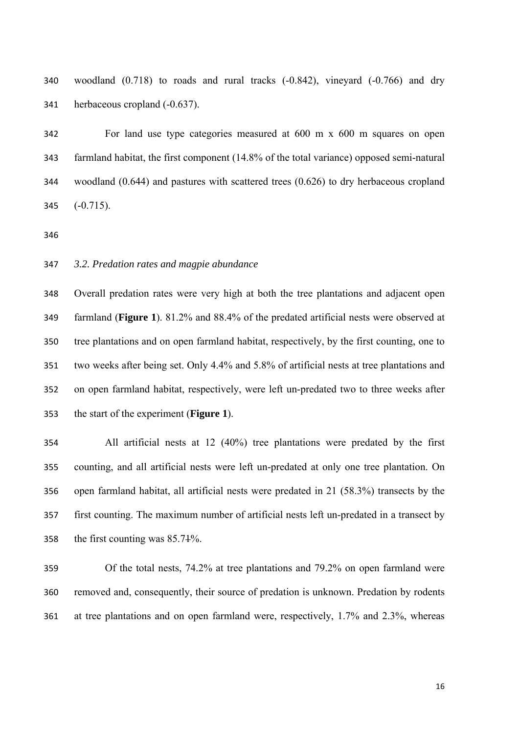woodland (0.718) to roads and rural tracks (-0.842), vineyard (-0.766) and dry herbaceous cropland (-0.637).

 For land use type categories measured at 600 m x 600 m squares on open farmland habitat, the first component (14.8% of the total variance) opposed semi-natural woodland (0.644) and pastures with scattered trees (0.626) to dry herbaceous cropland (-0.715).

## *3.2. Predation rates and magpie abundance*

 Overall predation rates were very high at both the tree plantations and adjacent open farmland (**Figure 1**). 81.2% and 88.4% of the predated artificial nests were observed at tree plantations and on open farmland habitat, respectively, by the first counting, one to two weeks after being set. Only 4.4% and 5.8% of artificial nests at tree plantations and on open farmland habitat, respectively, were left un-predated two to three weeks after the start of the experiment (**Figure 1**).

 All artificial nests at 12 (40%) tree plantations were predated by the first counting, and all artificial nests were left un-predated at only one tree plantation. On open farmland habitat, all artificial nests were predated in 21 (58.3%) transects by the first counting. The maximum number of artificial nests left un-predated in a transect by the first counting was 85.71%.

 Of the total nests, 74.2% at tree plantations and 79.2% on open farmland were removed and, consequently, their source of predation is unknown. Predation by rodents at tree plantations and on open farmland were, respectively, 1.7% and 2.3%, whereas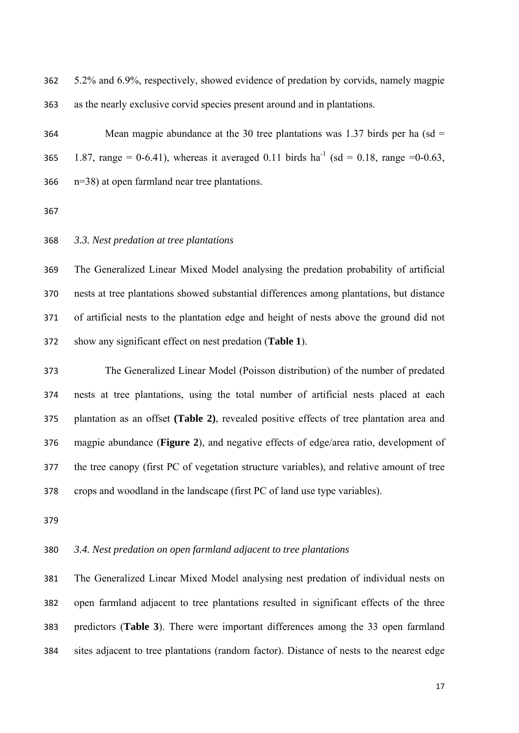5.2% and 6.9%, respectively, showed evidence of predation by corvids, namely magpie as the nearly exclusive corvid species present around and in plantations.

 Mean magpie abundance at the 30 tree plantations was 1.37 birds per ha (sd = 365 1.87, range = 0-6.41), whereas it averaged 0.11 birds ha<sup>-1</sup> (sd = 0.18, range =0-0.63, n=38) at open farmland near tree plantations.

#### *3.3. Nest predation at tree plantations*

 The Generalized Linear Mixed Model analysing the predation probability of artificial nests at tree plantations showed substantial differences among plantations, but distance of artificial nests to the plantation edge and height of nests above the ground did not show any significant effect on nest predation (**Table 1**).

 The Generalized Linear Model (Poisson distribution) of the number of predated nests at tree plantations, using the total number of artificial nests placed at each plantation as an offset **(Table 2)**, revealed positive effects of tree plantation area and magpie abundance (**Figure 2**), and negative effects of edge/area ratio, development of the tree canopy (first PC of vegetation structure variables), and relative amount of tree crops and woodland in the landscape (first PC of land use type variables).

# *3.4. Nest predation on open farmland adjacent to tree plantations*

 The Generalized Linear Mixed Model analysing nest predation of individual nests on open farmland adjacent to tree plantations resulted in significant effects of the three predictors (**Table 3**). There were important differences among the 33 open farmland sites adjacent to tree plantations (random factor). Distance of nests to the nearest edge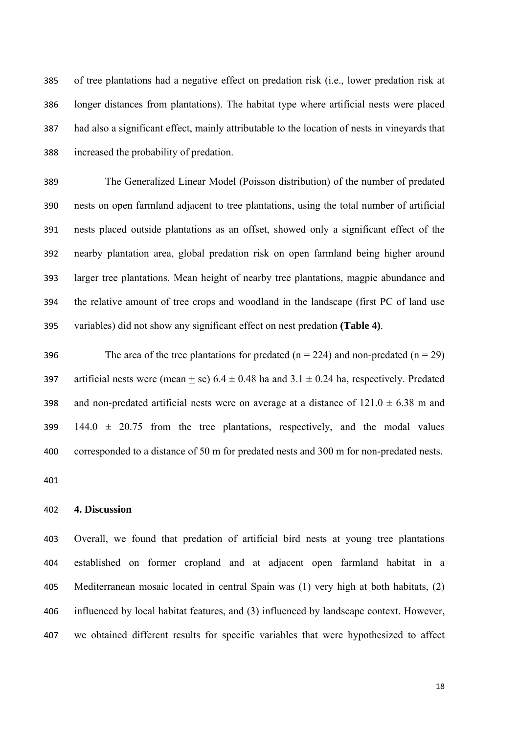of tree plantations had a negative effect on predation risk (i.e., lower predation risk at longer distances from plantations). The habitat type where artificial nests were placed had also a significant effect, mainly attributable to the location of nests in vineyards that increased the probability of predation.

 The Generalized Linear Model (Poisson distribution) of the number of predated nests on open farmland adjacent to tree plantations, using the total number of artificial nests placed outside plantations as an offset, showed only a significant effect of the nearby plantation area, global predation risk on open farmland being higher around larger tree plantations. Mean height of nearby tree plantations, magpie abundance and the relative amount of tree crops and woodland in the landscape (first PC of land use variables) did not show any significant effect on nest predation **(Table 4)**.

396 The area of the tree plantations for predated  $(n = 224)$  and non-predated  $(n = 29)$ 397 artificial nests were (mean + se)  $6.4 \pm 0.48$  ha and  $3.1 \pm 0.24$  ha, respectively. Predated 398 and non-predated artificial nests were on average at a distance of  $121.0 \pm 6.38$  m and 399 144.0  $\pm$  20.75 from the tree plantations, respectively, and the modal values corresponded to a distance of 50 m for predated nests and 300 m for non-predated nests.

# **4. Discussion**

 Overall, we found that predation of artificial bird nests at young tree plantations established on former cropland and at adjacent open farmland habitat in a Mediterranean mosaic located in central Spain was (1) very high at both habitats, (2) influenced by local habitat features, and (3) influenced by landscape context. However, we obtained different results for specific variables that were hypothesized to affect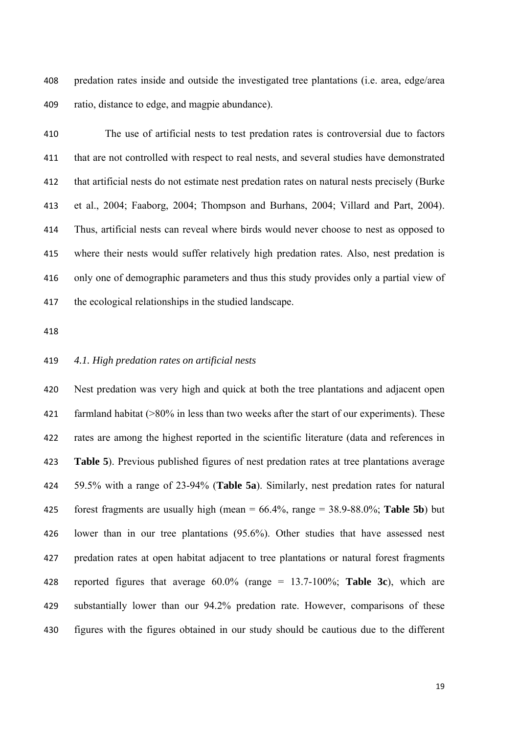predation rates inside and outside the investigated tree plantations (i.e. area, edge/area ratio, distance to edge, and magpie abundance).

 The use of artificial nests to test predation rates is controversial due to factors that are not controlled with respect to real nests, and several studies have demonstrated that artificial nests do not estimate nest predation rates on natural nests precisely (Burke et al., 2004; Faaborg, 2004; Thompson and Burhans, 2004; Villard and Part, 2004). Thus, artificial nests can reveal where birds would never choose to nest as opposed to where their nests would suffer relatively high predation rates. Also, nest predation is only one of demographic parameters and thus this study provides only a partial view of the ecological relationships in the studied landscape.

## *4.1. High predation rates on artificial nests*

 Nest predation was very high and quick at both the tree plantations and adjacent open farmland habitat (>80% in less than two weeks after the start of our experiments). These rates are among the highest reported in the scientific literature (data and references in **Table 5**). Previous published figures of nest predation rates at tree plantations average 59.5% with a range of 23-94% (**Table 5a**). Similarly, nest predation rates for natural forest fragments are usually high (mean = 66.4%, range = 38.9-88.0%; **Table 5b**) but lower than in our tree plantations (95.6%). Other studies that have assessed nest predation rates at open habitat adjacent to tree plantations or natural forest fragments reported figures that average 60.0% (range = 13.7-100%; **Table 3c**), which are substantially lower than our 94.2% predation rate. However, comparisons of these figures with the figures obtained in our study should be cautious due to the different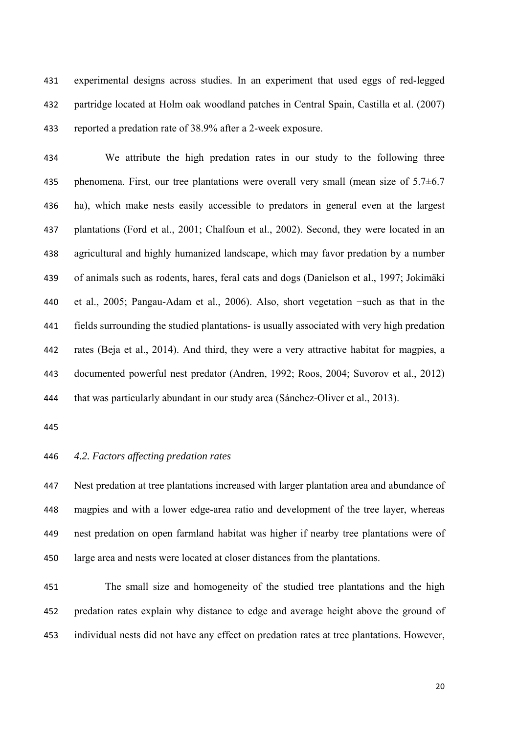experimental designs across studies. In an experiment that used eggs of red-legged partridge located at Holm oak woodland patches in Central Spain, Castilla et al. (2007) reported a predation rate of 38.9% after a 2-week exposure.

 We attribute the high predation rates in our study to the following three 435 phenomena. First, our tree plantations were overall very small (mean size of  $5.7\pm6.7$  ha), which make nests easily accessible to predators in general even at the largest plantations (Ford et al., 2001; Chalfoun et al., 2002). Second, they were located in an agricultural and highly humanized landscape, which may favor predation by a number of animals such as rodents, hares, feral cats and dogs (Danielson et al., 1997; Jokimäki et al., 2005; Pangau-Adam et al., 2006). Also, short vegetation −such as that in the fields surrounding the studied plantations- is usually associated with very high predation rates (Beja et al., 2014). And third, they were a very attractive habitat for magpies, a documented powerful nest predator (Andren, 1992; Roos, 2004; Suvorov et al., 2012) that was particularly abundant in our study area (Sánchez-Oliver et al., 2013).

### *4.2. Factors affecting predation rates*

 Nest predation at tree plantations increased with larger plantation area and abundance of magpies and with a lower edge-area ratio and development of the tree layer, whereas nest predation on open farmland habitat was higher if nearby tree plantations were of large area and nests were located at closer distances from the plantations.

 The small size and homogeneity of the studied tree plantations and the high predation rates explain why distance to edge and average height above the ground of individual nests did not have any effect on predation rates at tree plantations. However,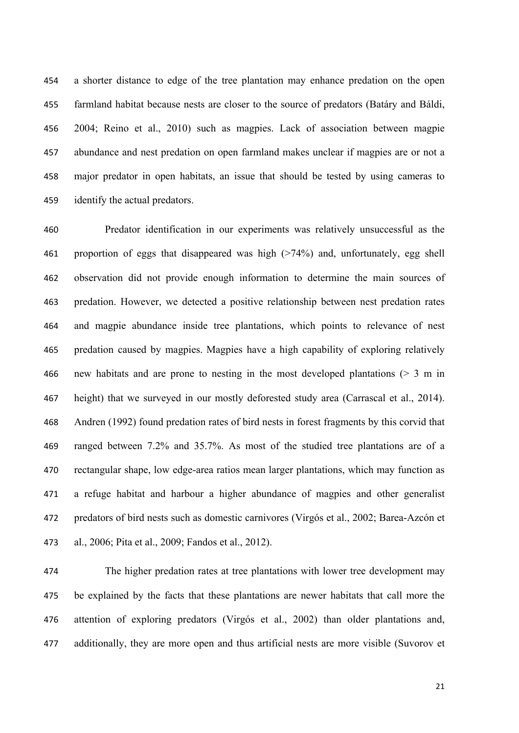a shorter distance to edge of the tree plantation may enhance predation on the open farmland habitat because nests are closer to the source of predators (Batáry and Báldi, 2004; Reino et al., 2010) such as magpies. Lack of association between magpie abundance and nest predation on open farmland makes unclear if magpies are or not a major predator in open habitats, an issue that should be tested by using cameras to identify the actual predators.

 Predator identification in our experiments was relatively unsuccessful as the proportion of eggs that disappeared was high (>74%) and, unfortunately, egg shell observation did not provide enough information to determine the main sources of predation. However, we detected a positive relationship between nest predation rates and magpie abundance inside tree plantations, which points to relevance of nest predation caused by magpies. Magpies have a high capability of exploring relatively new habitats and are prone to nesting in the most developed plantations (> 3 m in height) that we surveyed in our mostly deforested study area (Carrascal et al., 2014). Andren (1992) found predation rates of bird nests in forest fragments by this corvid that ranged between 7.2% and 35.7%. As most of the studied tree plantations are of a rectangular shape, low edge-area ratios mean larger plantations, which may function as a refuge habitat and harbour a higher abundance of magpies and other generalist predators of bird nests such as domestic carnivores (Virgós et al., 2002; Barea-Azcón et al., 2006; Pita et al., 2009; Fandos et al., 2012).

 The higher predation rates at tree plantations with lower tree development may be explained by the facts that these plantations are newer habitats that call more the attention of exploring predators (Virgós et al., 2002) than older plantations and, additionally, they are more open and thus artificial nests are more visible (Suvorov et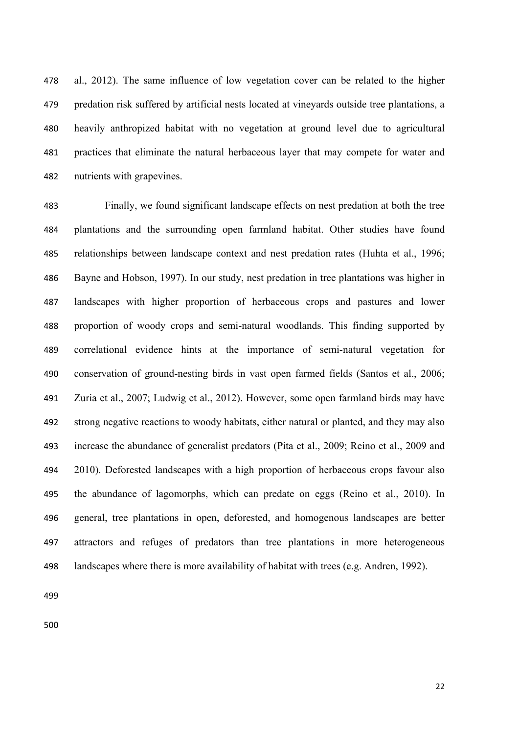al., 2012). The same influence of low vegetation cover can be related to the higher predation risk suffered by artificial nests located at vineyards outside tree plantations, a heavily anthropized habitat with no vegetation at ground level due to agricultural practices that eliminate the natural herbaceous layer that may compete for water and nutrients with grapevines.

 Finally, we found significant landscape effects on nest predation at both the tree plantations and the surrounding open farmland habitat. Other studies have found relationships between landscape context and nest predation rates (Huhta et al., 1996; Bayne and Hobson, 1997). In our study, nest predation in tree plantations was higher in landscapes with higher proportion of herbaceous crops and pastures and lower proportion of woody crops and semi-natural woodlands. This finding supported by correlational evidence hints at the importance of semi-natural vegetation for conservation of ground-nesting birds in vast open farmed fields (Santos et al., 2006; Zuria et al., 2007; Ludwig et al., 2012). However, some open farmland birds may have strong negative reactions to woody habitats, either natural or planted, and they may also increase the abundance of generalist predators (Pita et al., 2009; Reino et al., 2009 and 2010). Deforested landscapes with a high proportion of herbaceous crops favour also the abundance of lagomorphs, which can predate on eggs (Reino et al., 2010). In general, tree plantations in open, deforested, and homogenous landscapes are better attractors and refuges of predators than tree plantations in more heterogeneous landscapes where there is more availability of habitat with trees (e.g. Andren, 1992).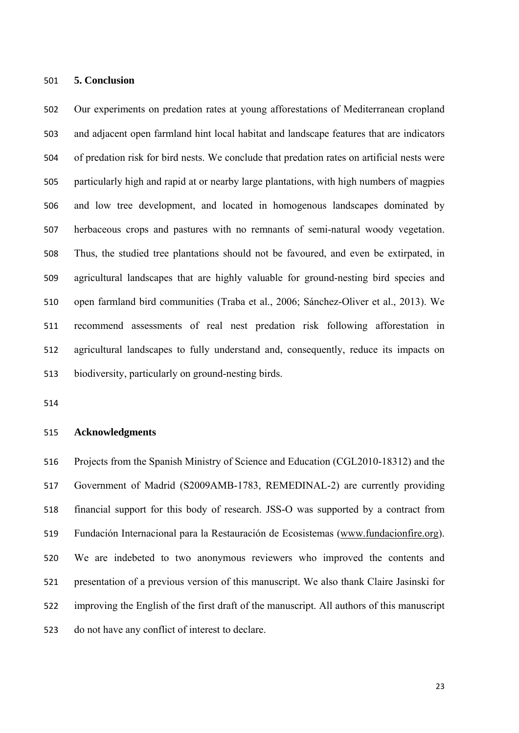#### **5. Conclusion**

 Our experiments on predation rates at young afforestations of Mediterranean cropland and adjacent open farmland hint local habitat and landscape features that are indicators of predation risk for bird nests. We conclude that predation rates on artificial nests were particularly high and rapid at or nearby large plantations, with high numbers of magpies and low tree development, and located in homogenous landscapes dominated by herbaceous crops and pastures with no remnants of semi-natural woody vegetation. Thus, the studied tree plantations should not be favoured, and even be extirpated, in agricultural landscapes that are highly valuable for ground-nesting bird species and open farmland bird communities (Traba et al., 2006; Sánchez-Oliver et al., 2013). We recommend assessments of real nest predation risk following afforestation in agricultural landscapes to fully understand and, consequently, reduce its impacts on biodiversity, particularly on ground-nesting birds.

#### **Acknowledgments**

 Projects from the Spanish Ministry of Science and Education (CGL2010-18312) and the Government of Madrid (S2009AMB-1783, REMEDINAL-2) are currently providing financial support for this body of research. JSS-O was supported by a contract from Fundación Internacional para la Restauración de Ecosistemas (www.fundacionfire.org). We are indebeted to two anonymous reviewers who improved the contents and presentation of a previous version of this manuscript. We also thank Claire Jasinski for improving the English of the first draft of the manuscript. All authors of this manuscript do not have any conflict of interest to declare.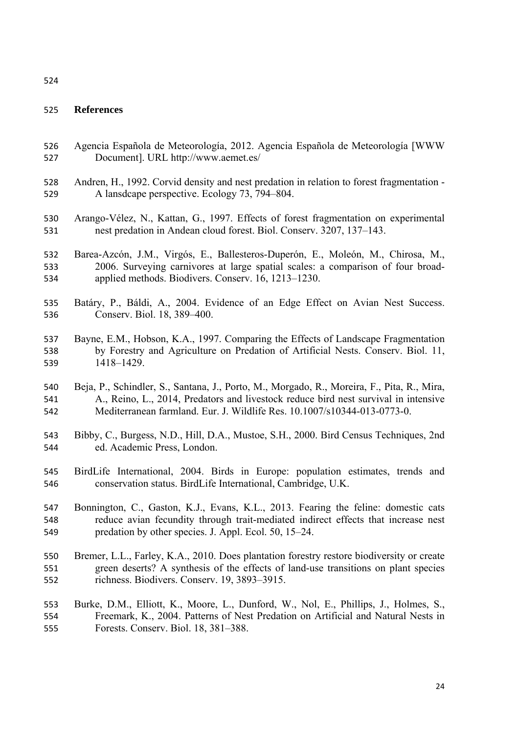#### 

## **References**

- Agencia Española de Meteorología, 2012. Agencia Española de Meteorología [WWW Document]. URL http://www.aemet.es/
- Andren, H., 1992. Corvid density and nest predation in relation to forest fragmentation A lansdcape perspective. Ecology 73, 794–804.
- Arango-Vélez, N., Kattan, G., 1997. Effects of forest fragmentation on experimental nest predation in Andean cloud forest. Biol. Conserv. 3207, 137–143.
- Barea-Azcón, J.M., Virgós, E., Ballesteros-Duperón, E., Moleón, M., Chirosa, M., 2006. Surveying carnivores at large spatial scales: a comparison of four broad-applied methods. Biodivers. Conserv. 16, 1213–1230.
- Batáry, P., Báldi, A., 2004. Evidence of an Edge Effect on Avian Nest Success. Conserv. Biol. 18, 389–400.
- Bayne, E.M., Hobson, K.A., 1997. Comparing the Effects of Landscape Fragmentation by Forestry and Agriculture on Predation of Artificial Nests. Conserv. Biol. 11, 1418–1429.
- Beja, P., Schindler, S., Santana, J., Porto, M., Morgado, R., Moreira, F., Pita, R., Mira, A., Reino, L., 2014, Predators and livestock reduce bird nest survival in intensive Mediterranean farmland. Eur. J. Wildlife Res. 10.1007/s10344-013-0773-0.
- Bibby, C., Burgess, N.D., Hill, D.A., Mustoe, S.H., 2000. Bird Census Techniques, 2nd ed. Academic Press, London.
- BirdLife International, 2004. Birds in Europe: population estimates, trends and conservation status. BirdLife International, Cambridge, U.K.
- Bonnington, C., Gaston, K.J., Evans, K.L., 2013. Fearing the feline: domestic cats reduce avian fecundity through trait-mediated indirect effects that increase nest predation by other species. J. Appl. Ecol. 50, 15–24.
- Bremer, L.L., Farley, K.A., 2010. Does plantation forestry restore biodiversity or create green deserts? A synthesis of the effects of land-use transitions on plant species richness. Biodivers. Conserv. 19, 3893–3915.
- Burke, D.M., Elliott, K., Moore, L., Dunford, W., Nol, E., Phillips, J., Holmes, S., Freemark, K., 2004. Patterns of Nest Predation on Artificial and Natural Nests in Forests. Conserv. Biol. 18, 381–388.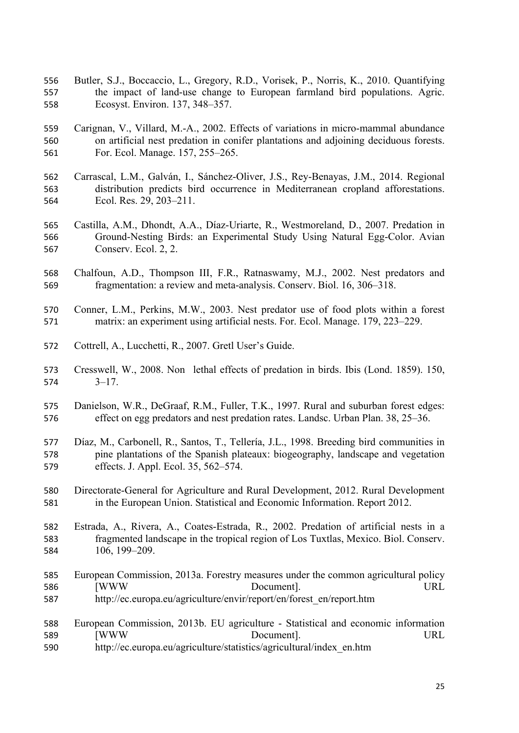- Butler, S.J., Boccaccio, L., Gregory, R.D., Vorisek, P., Norris, K., 2010. Quantifying the impact of land-use change to European farmland bird populations. Agric. Ecosyst. Environ. 137, 348–357.
- Carignan, V., Villard, M.-A., 2002. Effects of variations in micro-mammal abundance on artificial nest predation in conifer plantations and adjoining deciduous forests. For. Ecol. Manage. 157, 255–265.
- Carrascal, L.M., Galván, I., Sánchez-Oliver, J.S., Rey-Benayas, J.M., 2014. Regional distribution predicts bird occurrence in Mediterranean cropland afforestations. Ecol. Res. 29, 203–211.
- Castilla, A.M., Dhondt, A.A., Díaz-Uriarte, R., Westmoreland, D., 2007. Predation in Ground-Nesting Birds: an Experimental Study Using Natural Egg-Color. Avian Conserv. Ecol. 2, 2.
- Chalfoun, A.D., Thompson III, F.R., Ratnaswamy, M.J., 2002. Nest predators and fragmentation: a review and meta-analysis. Conserv. Biol. 16, 306–318.
- Conner, L.M., Perkins, M.W., 2003. Nest predator use of food plots within a forest matrix: an experiment using artificial nests. For. Ecol. Manage. 179, 223–229.
- Cottrell, A., Lucchetti, R., 2007. Gretl User's Guide.
- 573 Cresswell, W., 2008. Nonlethal effects of predation in birds. Ibis (Lond. 1859). 150, 3–17.
- Danielson, W.R., DeGraaf, R.M., Fuller, T.K., 1997. Rural and suburban forest edges: effect on egg predators and nest predation rates. Landsc. Urban Plan. 38, 25–36.
- Díaz, M., Carbonell, R., Santos, T., Tellería, J.L., 1998. Breeding bird communities in pine plantations of the Spanish plateaux: biogeography, landscape and vegetation effects. J. Appl. Ecol. 35, 562–574.
- Directorate-General for Agriculture and Rural Development, 2012. Rural Development in the European Union. Statistical and Economic Information. Report 2012.
- Estrada, A., Rivera, A., Coates-Estrada, R., 2002. Predation of artificial nests in a fragmented landscape in the tropical region of Los Tuxtlas, Mexico. Biol. Conserv. 106, 199–209.
- European Commission, 2013a. Forestry measures under the common agricultural policy [WWW Document]. URL http://ec.europa.eu/agriculture/envir/report/en/forest\_en/report.htm
- European Commission, 2013b. EU agriculture Statistical and economic information [WWW Document]. URL
- http://ec.europa.eu/agriculture/statistics/agricultural/index\_en.htm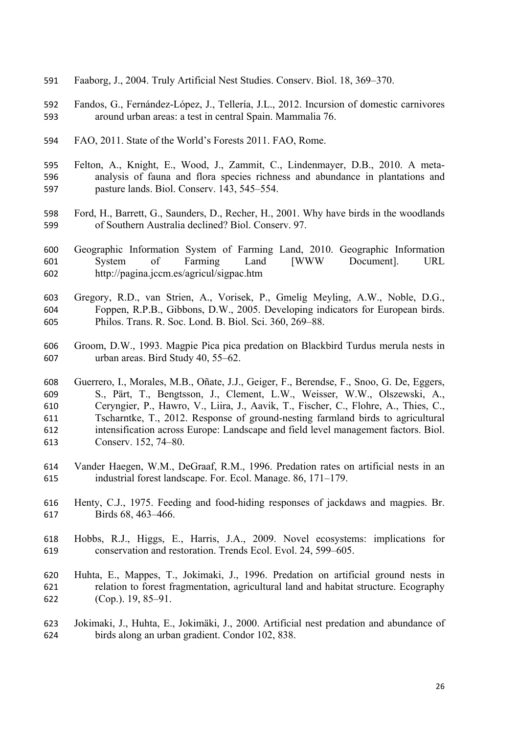- Faaborg, J., 2004. Truly Artificial Nest Studies. Conserv. Biol. 18, 369–370.
- Fandos, G., Fernández-López, J., Tellería, J.L., 2012. Incursion of domestic carnivores around urban areas: a test in central Spain. Mammalia 76.
- FAO, 2011. State of the World's Forests 2011. FAO, Rome.
- Felton, A., Knight, E., Wood, J., Zammit, C., Lindenmayer, D.B., 2010. A meta- analysis of fauna and flora species richness and abundance in plantations and pasture lands. Biol. Conserv. 143, 545–554.
- Ford, H., Barrett, G., Saunders, D., Recher, H., 2001. Why have birds in the woodlands of Southern Australia declined? Biol. Conserv. 97.
- Geographic Information System of Farming Land, 2010. Geographic Information System of Farming Land [WWW Document]. URL http://pagina.jccm.es/agricul/sigpac.htm
- Gregory, R.D., van Strien, A., Vorisek, P., Gmelig Meyling, A.W., Noble, D.G., Foppen, R.P.B., Gibbons, D.W., 2005. Developing indicators for European birds. Philos. Trans. R. Soc. Lond. B. Biol. Sci. 360, 269–88.
- Groom, D.W., 1993. Magpie Pica pica predation on Blackbird Turdus merula nests in urban areas. Bird Study 40, 55–62.

 Guerrero, I., Morales, M.B., Oñate, J.J., Geiger, F., Berendse, F., Snoo, G. De, Eggers, S., Pärt, T., Bengtsson, J., Clement, L.W., Weisser, W.W., Olszewski, A., Ceryngier, P., Hawro, V., Liira, J., Aavik, T., Fischer, C., Flohre, A., Thies, C., Tscharntke, T., 2012. Response of ground-nesting farmland birds to agricultural intensification across Europe: Landscape and field level management factors. Biol. Conserv. 152, 74–80.

- Vander Haegen, W.M., DeGraaf, R.M., 1996. Predation rates on artificial nests in an industrial forest landscape. For. Ecol. Manage. 86, 171–179.
- Henty, C.J., 1975. Feeding and food-hiding responses of jackdaws and magpies. Br. Birds 68, 463–466.
- Hobbs, R.J., Higgs, E., Harris, J.A., 2009. Novel ecosystems: implications for conservation and restoration. Trends Ecol. Evol. 24, 599–605.
- Huhta, E., Mappes, T., Jokimaki, J., 1996. Predation on artificial ground nests in relation to forest fragmentation, agricultural land and habitat structure. Ecography (Cop.). 19, 85–91.
- Jokimaki, J., Huhta, E., Jokimäki, J., 2000. Artificial nest predation and abundance of birds along an urban gradient. Condor 102, 838.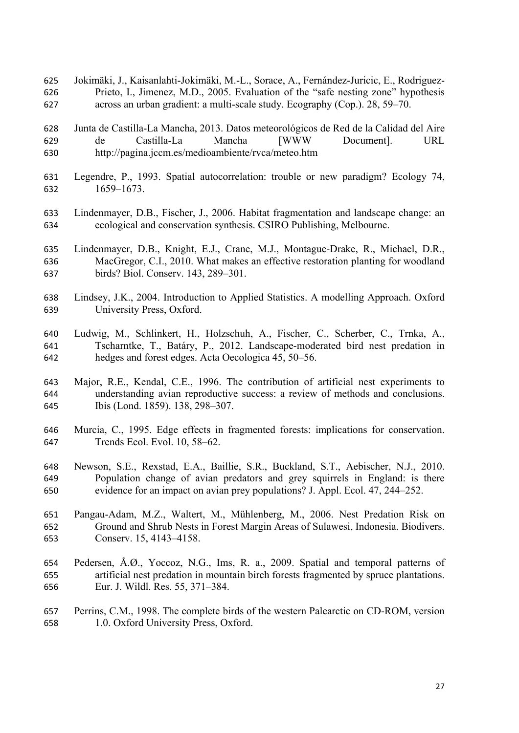Jokimäki, J., Kaisanlahti-Jokimäki, M.-L., Sorace, A., Fernández-Juricic, E., Rodriguez- Prieto, I., Jimenez, M.D., 2005. Evaluation of the "safe nesting zone" hypothesis across an urban gradient: a multi-scale study. Ecography (Cop.). 28, 59–70.

 Junta de Castilla-La Mancha, 2013. Datos meteorológicos de Red de la Calidad del Aire de Castilla-La Mancha [WWW Document]. URL http://pagina.jccm.es/medioambiente/rvca/meteo.htm

- Legendre, P., 1993. Spatial autocorrelation: trouble or new paradigm? Ecology 74, 1659–1673.
- Lindenmayer, D.B., Fischer, J., 2006. Habitat fragmentation and landscape change: an ecological and conservation synthesis. CSIRO Publishing, Melbourne.
- Lindenmayer, D.B., Knight, E.J., Crane, M.J., Montague-Drake, R., Michael, D.R., MacGregor, C.I., 2010. What makes an effective restoration planting for woodland birds? Biol. Conserv. 143, 289–301.
- Lindsey, J.K., 2004. Introduction to Applied Statistics. A modelling Approach. Oxford University Press, Oxford.
- Ludwig, M., Schlinkert, H., Holzschuh, A., Fischer, C., Scherber, C., Trnka, A., Tscharntke, T., Batáry, P., 2012. Landscape-moderated bird nest predation in hedges and forest edges. Acta Oecologica 45, 50–56.
- Major, R.E., Kendal, C.E., 1996. The contribution of artificial nest experiments to understanding avian reproductive success: a review of methods and conclusions. Ibis (Lond. 1859). 138, 298–307.
- Murcia, C., 1995. Edge effects in fragmented forests: implications for conservation. Trends Ecol. Evol. 10, 58–62.
- Newson, S.E., Rexstad, E.A., Baillie, S.R., Buckland, S.T., Aebischer, N.J., 2010. Population change of avian predators and grey squirrels in England: is there evidence for an impact on avian prey populations? J. Appl. Ecol. 47, 244–252.
- Pangau-Adam, M.Z., Waltert, M., Mühlenberg, M., 2006. Nest Predation Risk on Ground and Shrub Nests in Forest Margin Areas of Sulawesi, Indonesia. Biodivers. Conserv. 15, 4143–4158.
- Pedersen, Å.Ø., Yoccoz, N.G., Ims, R. a., 2009. Spatial and temporal patterns of artificial nest predation in mountain birch forests fragmented by spruce plantations. Eur. J. Wildl. Res. 55, 371–384.
- Perrins, C.M., 1998. The complete birds of the western Palearctic on CD-ROM, version 1.0. Oxford University Press, Oxford.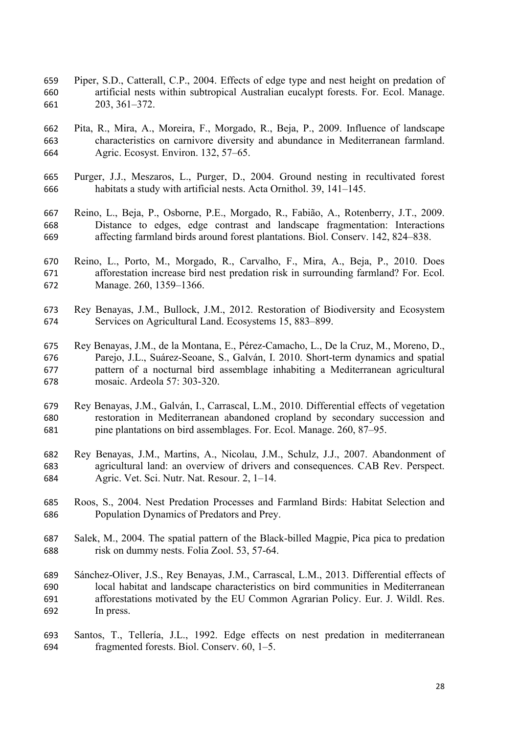- Piper, S.D., Catterall, C.P., 2004. Effects of edge type and nest height on predation of artificial nests within subtropical Australian eucalypt forests. For. Ecol. Manage. 203, 361–372.
- Pita, R., Mira, A., Moreira, F., Morgado, R., Beja, P., 2009. Influence of landscape characteristics on carnivore diversity and abundance in Mediterranean farmland. Agric. Ecosyst. Environ. 132, 57–65.
- Purger, J.J., Meszaros, L., Purger, D., 2004. Ground nesting in recultivated forest habitats a study with artificial nests. Acta Ornithol. 39, 141–145.
- Reino, L., Beja, P., Osborne, P.E., Morgado, R., Fabião, A., Rotenberry, J.T., 2009. Distance to edges, edge contrast and landscape fragmentation: Interactions affecting farmland birds around forest plantations. Biol. Conserv. 142, 824–838.
- Reino, L., Porto, M., Morgado, R., Carvalho, F., Mira, A., Beja, P., 2010. Does afforestation increase bird nest predation risk in surrounding farmland? For. Ecol. Manage. 260, 1359–1366.
- Rey Benayas, J.M., Bullock, J.M., 2012. Restoration of Biodiversity and Ecosystem Services on Agricultural Land. Ecosystems 15, 883–899.
- Rey Benayas, J.M., de la Montana, E., Pérez-Camacho, L., De la Cruz, M., Moreno, D., Parejo, J.L., Suárez-Seoane, S., Galván, I. 2010. Short-term dynamics and spatial pattern of a nocturnal bird assemblage inhabiting a Mediterranean agricultural mosaic. Ardeola 57: 303-320.
- Rey Benayas, J.M., Galván, I., Carrascal, L.M., 2010. Differential effects of vegetation restoration in Mediterranean abandoned cropland by secondary succession and pine plantations on bird assemblages. For. Ecol. Manage. 260, 87–95.
- Rey Benayas, J.M., Martins, A., Nicolau, J.M., Schulz, J.J., 2007. Abandonment of agricultural land: an overview of drivers and consequences. CAB Rev. Perspect. Agric. Vet. Sci. Nutr. Nat. Resour. 2, 1–14.
- Roos, S., 2004. Nest Predation Processes and Farmland Birds: Habitat Selection and Population Dynamics of Predators and Prey.
- Salek, M., 2004. The spatial pattern of the Black-billed Magpie, Pica pica to predation risk on dummy nests. Folia Zool. 53, 57-64.
- Sánchez-Oliver, J.S., Rey Benayas, J.M., Carrascal, L.M., 2013. Differential effects of local habitat and landscape characteristics on bird communities in Mediterranean afforestations motivated by the EU Common Agrarian Policy. Eur. J. Wildl. Res. In press.
- Santos, T., Tellería, J.L., 1992. Edge effects on nest predation in mediterranean fragmented forests. Biol. Conserv. 60, 1–5.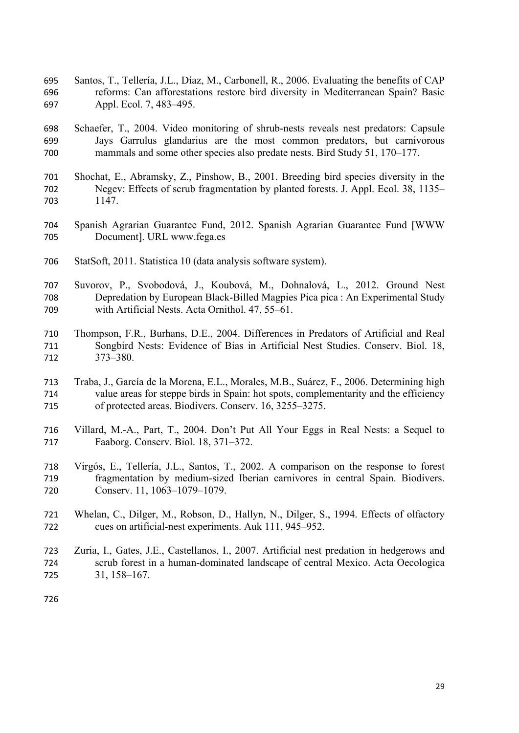- Santos, T., Tellería, J.L., Díaz, M., Carbonell, R., 2006. Evaluating the benefits of CAP reforms: Can afforestations restore bird diversity in Mediterranean Spain? Basic Appl. Ecol. 7, 483–495.
- Schaefer, T., 2004. Video monitoring of shrub-nests reveals nest predators: Capsule Jays Garrulus glandarius are the most common predators, but carnivorous mammals and some other species also predate nests. Bird Study 51, 170–177.
- Shochat, E., Abramsky, Z., Pinshow, B., 2001. Breeding bird species diversity in the Negev: Effects of scrub fragmentation by planted forests. J. Appl. Ecol. 38, 1135– 1147.
- Spanish Agrarian Guarantee Fund, 2012. Spanish Agrarian Guarantee Fund [WWW Document]. URL www.fega.es
- StatSoft, 2011. Statistica 10 (data analysis software system).
- Suvorov, P., Svobodová, J., Koubová, M., Dohnalová, L., 2012. Ground Nest Depredation by European Black-Billed Magpies Pica pica : An Experimental Study with Artificial Nests. Acta Ornithol. 47, 55–61.
- Thompson, F.R., Burhans, D.E., 2004. Differences in Predators of Artificial and Real Songbird Nests: Evidence of Bias in Artificial Nest Studies. Conserv. Biol. 18, 373–380.
- Traba, J., García de la Morena, E.L., Morales, M.B., Suárez, F., 2006. Determining high value areas for steppe birds in Spain: hot spots, complementarity and the efficiency of protected areas. Biodivers. Conserv. 16, 3255–3275.
- Villard, M.-A., Part, T., 2004. Don't Put All Your Eggs in Real Nests: a Sequel to Faaborg. Conserv. Biol. 18, 371–372.
- Virgós, E., Tellería, J.L., Santos, T., 2002. A comparison on the response to forest fragmentation by medium-sized Iberian carnivores in central Spain. Biodivers. Conserv. 11, 1063–1079–1079.
- Whelan, C., Dilger, M., Robson, D., Hallyn, N., Dilger, S., 1994. Effects of olfactory cues on artificial-nest experiments. Auk 111, 945–952.
- Zuria, I., Gates, J.E., Castellanos, I., 2007. Artificial nest predation in hedgerows and scrub forest in a human-dominated landscape of central Mexico. Acta Oecologica 31, 158–167.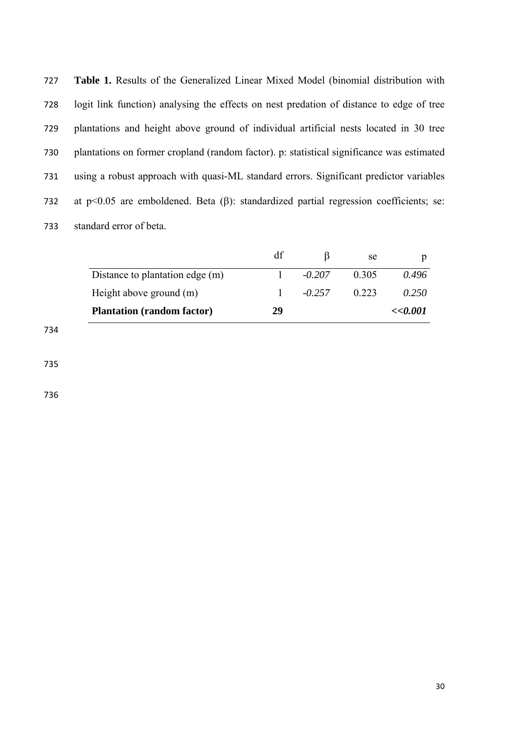**Table 1.** Results of the Generalized Linear Mixed Model (binomial distribution with logit link function) analysing the effects on nest predation of distance to edge of tree plantations and height above ground of individual artificial nests located in 30 tree plantations on former cropland (random factor). p: statistical significance was estimated using a robust approach with quasi-ML standard errors. Significant predictor variables 732 at  $p<0.05$  are emboldened. Beta ( $\beta$ ): standardized partial regression coefficients; se: standard error of beta.

|                                   |    |          | se    |          |
|-----------------------------------|----|----------|-------|----------|
| Distance to plantation edge (m)   |    | $-0.207$ | 0.305 | 0.496    |
| Height above ground (m)           |    | $-0.257$ | 0.223 | 0.250    |
| <b>Plantation (random factor)</b> | 29 |          |       | << 0.001 |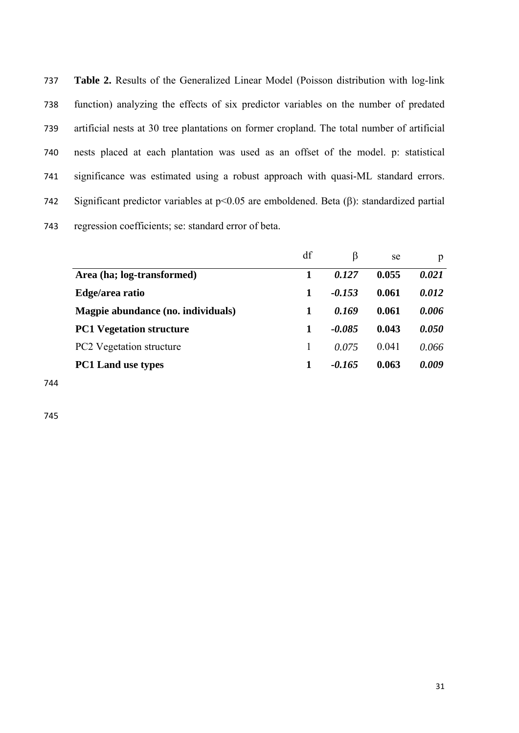**Table 2.** Results of the Generalized Linear Model (Poisson distribution with log-link function) analyzing the effects of six predictor variables on the number of predated artificial nests at 30 tree plantations on former cropland. The total number of artificial nests placed at each plantation was used as an offset of the model. p: statistical significance was estimated using a robust approach with quasi-ML standard errors. 742 Significant predictor variables at  $p<0.05$  are emboldened. Beta ( $\beta$ ): standardized partial regression coefficients; se: standard error of beta.

|                                    | df | B        | se      | p     |
|------------------------------------|----|----------|---------|-------|
| Area (ha; log-transformed)         |    | 0.127    | 0.055   | 0.021 |
| Edge/area ratio                    | 1  | $-0.153$ | 0.061   | 0.012 |
| Magpie abundance (no. individuals) | 1  | 0.169    | 0.061   | 0.006 |
| <b>PC1 Vegetation structure</b>    | 1  | $-0.085$ | 0.043   | 0.050 |
| <b>PC2</b> Vegetation structure    |    | 0.075    | (0.041) | 0.066 |
| <b>PC1 Land use types</b>          | 1  | -0.165   | 0.063   | 0.009 |
|                                    |    |          |         |       |

744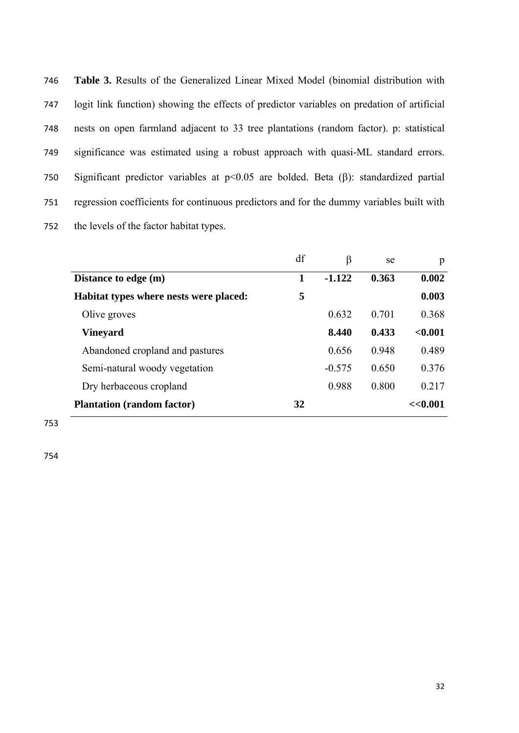| 746 | <b>Table 3.</b> Results of the Generalized Linear Mixed Model (binomial distribution with      |
|-----|------------------------------------------------------------------------------------------------|
| 747 | logit link function) showing the effects of predictor variables on predation of artificial     |
| 748 | nests on open farmland adjacent to 33 tree plantations (random factor). p: statistical         |
| 749 | significance was estimated using a robust approach with quasi-ML standard errors.              |
| 750 | Significant predictor variables at $p<0.05$ are bolded. Beta ( $\beta$ ): standardized partial |
| 751 | regression coefficients for continuous predictors and for the dummy variables built with       |
| 752 | the levels of the factor habitat types.                                                        |

|                                        | df | β        | se    | p       |
|----------------------------------------|----|----------|-------|---------|
| Distance to edge (m)                   | 1  | $-1.122$ | 0.363 | 0.002   |
| Habitat types where nests were placed: | 5  |          |       | 0.003   |
| Olive groves                           |    | 0.632    | 0.701 | 0.368   |
| <b>Vineyard</b>                        |    | 8.440    | 0.433 | < 0.001 |
| Abandoned cropland and pastures        |    | 0.656    | 0.948 | 0.489   |
| Semi-natural woody vegetation          |    | $-0.575$ | 0.650 | 0.376   |
| Dry herbaceous cropland                |    | 0.988    | 0.800 | 0.217   |
| <b>Plantation (random factor)</b>      | 32 |          |       | <<0.001 |

753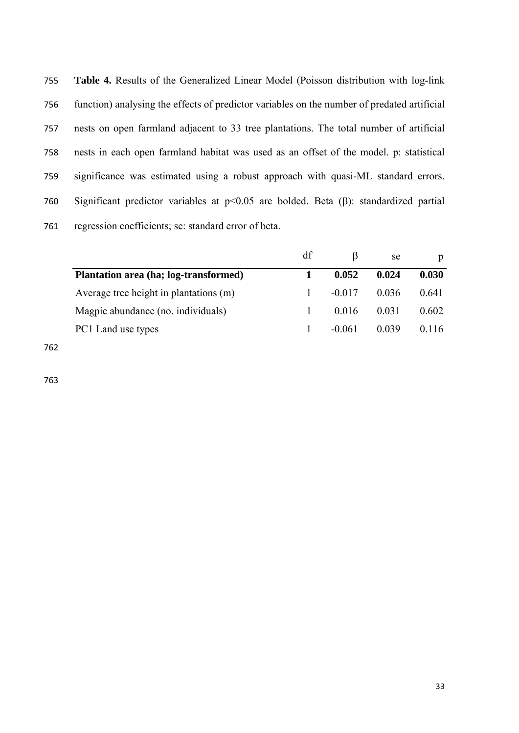**Table 4.** Results of the Generalized Linear Model (Poisson distribution with log-link function) analysing the effects of predictor variables on the number of predated artificial nests on open farmland adjacent to 33 tree plantations. The total number of artificial nests in each open farmland habitat was used as an offset of the model. p: statistical significance was estimated using a robust approach with quasi-ML standard errors. 760 Significant predictor variables at  $p<0.05$  are bolded. Beta ( $\beta$ ): standardized partial regression coefficients; se: standard error of beta.

|                                        | df |          | se    | p     |
|----------------------------------------|----|----------|-------|-------|
| Plantation area (ha; log-transformed)  |    | 0.052    | 0.024 | 0.030 |
| Average tree height in plantations (m) |    | $-0.017$ | 0.036 | 0.641 |
| Magpie abundance (no. individuals)     |    | 0.016    | 0.031 | 0.602 |
| PC1 Land use types                     |    | $-0.061$ | 0.039 | 0.116 |
|                                        |    |          |       |       |

762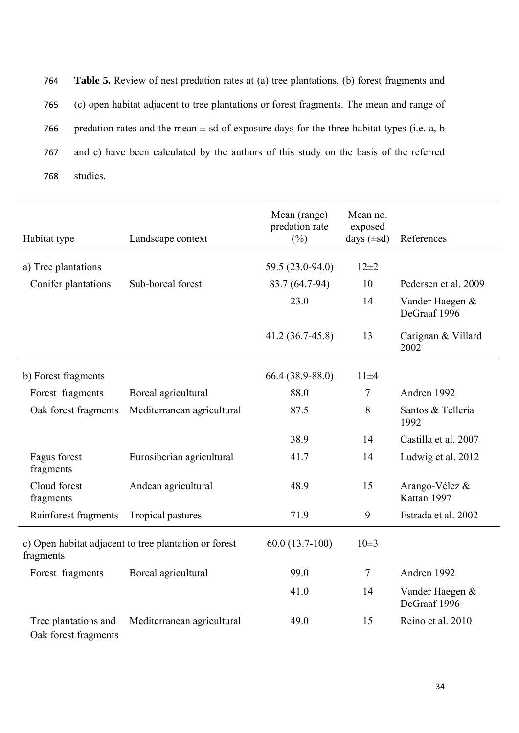764 **Table 5.** Review of nest predation rates at (a) tree plantations, (b) forest fragments and 765 (c) open habitat adjacent to tree plantations or forest fragments. The mean and range of 766 predation rates and the mean  $\pm$  sd of exposure days for the three habitat types (i.e. a, b 767 and c) have been calculated by the authors of this study on the basis of the referred 768 studies.

| Habitat type                                                       | Landscape context          | Mean (range)<br>predation rate<br>$(\%)$ | Mean no.<br>exposed<br>days $(\pm sd)$ | References                      |
|--------------------------------------------------------------------|----------------------------|------------------------------------------|----------------------------------------|---------------------------------|
| a) Tree plantations                                                |                            | 59.5 (23.0-94.0)                         | $12 + 2$                               |                                 |
| Conifer plantations                                                | Sub-boreal forest          | 83.7 (64.7-94)                           | 10                                     | Pedersen et al. 2009            |
|                                                                    |                            | 23.0                                     | 14                                     | Vander Haegen &<br>DeGraaf 1996 |
|                                                                    |                            | $41.2(36.7-45.8)$                        | 13                                     | Carignan & Villard<br>2002      |
| b) Forest fragments                                                |                            | 66.4 (38.9-88.0)                         | $11\pm4$                               |                                 |
| Forest fragments                                                   | Boreal agricultural        | 88.0                                     | 7                                      | Andren 1992                     |
| Oak forest fragments                                               | Mediterranean agricultural | 87.5                                     | 8                                      | Santos & Tellería<br>1992       |
|                                                                    |                            | 38.9                                     | 14                                     | Castilla et al. 2007            |
| Fagus forest<br>fragments                                          | Eurosiberian agricultural  | 41.7                                     | 14                                     | Ludwig et al. 2012              |
| Cloud forest<br>fragments                                          | Andean agricultural        | 48.9                                     | 15                                     | Arango-Vélez &<br>Kattan 1997   |
| Rainforest fragments                                               | Tropical pastures          | 71.9                                     | 9                                      | Estrada et al. 2002             |
| c) Open habitat adjacent to tree plantation or forest<br>fragments |                            | $60.0(13.7-100)$                         | $10\pm3$                               |                                 |
| Forest fragments                                                   | Boreal agricultural        | 99.0                                     | $\overline{7}$                         | Andren 1992                     |
|                                                                    |                            | 41.0                                     | 14                                     | Vander Haegen &<br>DeGraaf 1996 |
| Tree plantations and<br>Oak forest fragments                       | Mediterranean agricultural | 49.0                                     | 15                                     | Reino et al. 2010               |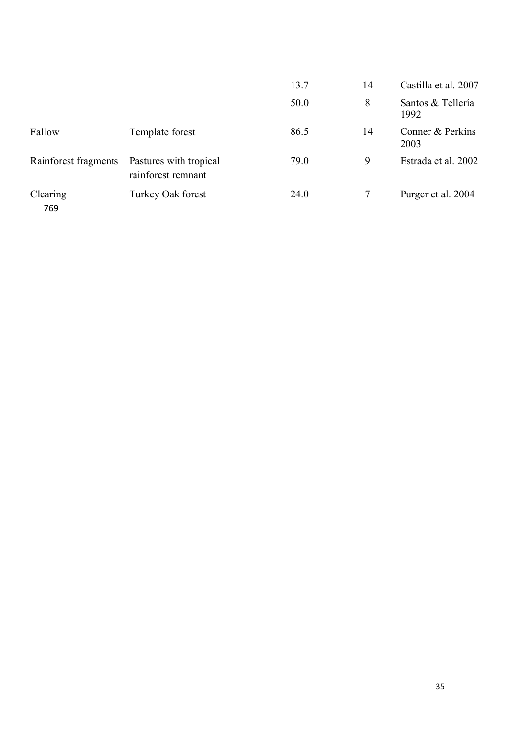|                      |                                              | 13.7 | 14 | Castilla et al. 2007      |
|----------------------|----------------------------------------------|------|----|---------------------------|
|                      |                                              | 50.0 | 8  | Santos & Tellería<br>1992 |
| Fallow               | Template forest                              | 86.5 | 14 | Conner & Perkins<br>2003  |
| Rainforest fragments | Pastures with tropical<br>rainforest remnant | 79.0 | 9  | Estrada et al. 2002       |
| Clearing<br>769      | Turkey Oak forest                            | 24.0 |    | Purger et al. 2004        |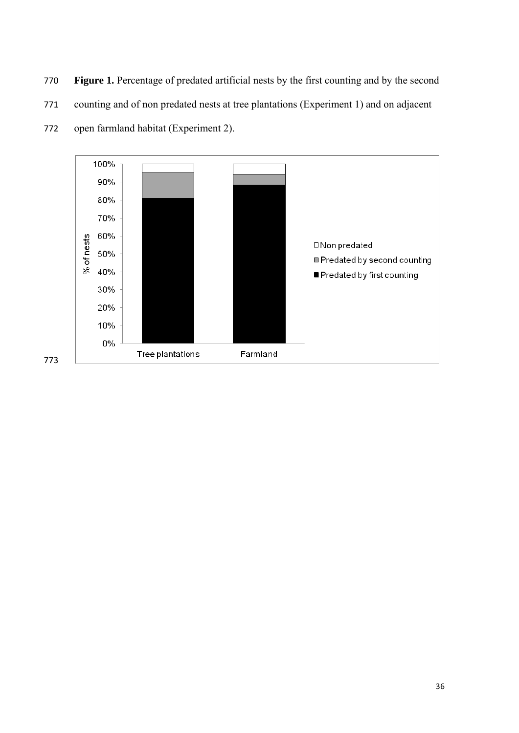**Figure 1.** Percentage of predated artificial nests by the first counting and by the second

counting and of non predated nests at tree plantations (Experiment 1) and on adjacent



open farmland habitat (Experiment 2).